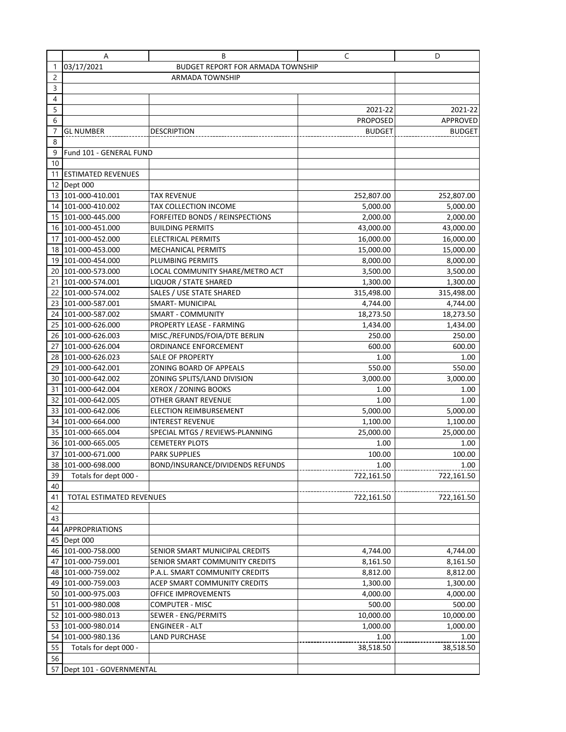|                | Α                        | B                                        | C               | D             |
|----------------|--------------------------|------------------------------------------|-----------------|---------------|
| 1              | 03/17/2021               | <b>BUDGET REPORT FOR ARMADA TOWNSHIP</b> |                 |               |
| $\overline{c}$ |                          | <b>ARMADA TOWNSHIP</b>                   |                 |               |
| 3              |                          |                                          |                 |               |
| $\overline{4}$ |                          |                                          |                 |               |
| 5              |                          |                                          | 2021-22         | 2021-22       |
| 6              |                          |                                          | <b>PROPOSED</b> | APPROVED      |
|                | <b>GL NUMBER</b>         | <b>DESCRIPTION</b>                       | <b>BUDGET</b>   | <b>BUDGET</b> |
| 8              |                          |                                          |                 |               |
| 9              | Fund 101 - GENERAL FUND  |                                          |                 |               |
| 10             |                          |                                          |                 |               |
|                | 11 ESTIMATED REVENUES    |                                          |                 |               |
|                | 12 Dept 000              |                                          |                 |               |
|                | 13 101-000-410.001       | TAX REVENUE                              | 252,807.00      | 252,807.00    |
|                | 14 101-000-410.002       | TAX COLLECTION INCOME                    | 5,000.00        | 5,000.00      |
|                | 15 101-000-445.000       | FORFEITED BONDS / REINSPECTIONS          | 2,000.00        | 2,000.00      |
|                | 16 101-000-451.000       | <b>BUILDING PERMITS</b>                  | 43,000.00       | 43,000.00     |
|                | 17 101-000-452.000       | ELECTRICAL PERMITS                       | 16,000.00       | 16,000.00     |
|                | 18 101-000-453.000       | MECHANICAL PERMITS                       | 15,000.00       | 15,000.00     |
|                | 19 101-000-454.000       | PLUMBING PERMITS                         | 8,000.00        | 8,000.00      |
| 20             | 101-000-573.000          | LOCAL COMMUNITY SHARE/METRO ACT          | 3,500.00        | 3,500.00      |
| 21             | 101-000-574.001          | LIQUOR / STATE SHARED                    | 1,300.00        | 1,300.00      |
| 22             | 101-000-574.002          | SALES / USE STATE SHARED                 | 315,498.00      | 315,498.00    |
|                | 23 101-000-587.001       | <b>SMART-MUNICIPAL</b>                   | 4,744.00        | 4,744.00      |
| 24             | 101-000-587.002          | <b>SMART - COMMUNITY</b>                 | 18,273.50       | 18,273.50     |
| 25             | 101-000-626.000          | PROPERTY LEASE - FARMING                 | 1,434.00        | 1,434.00      |
|                | 26 101-000-626.003       | MISC./REFUNDS/FOIA/DTE BERLIN            | 250.00          | 250.00        |
| 27             | 101-000-626.004          | ORDINANCE ENFORCEMENT                    | 600.00          | 600.00        |
|                | 28 101-000-626.023       | <b>SALE OF PROPERTY</b>                  | 1.00            | 1.00          |
| 29             | 101-000-642.001          | ZONING BOARD OF APPEALS                  | 550.00          | 550.00        |
|                | 30 101-000-642.002       | ZONING SPLITS/LAND DIVISION              | 3,000.00        | 3,000.00      |
|                | 31 101-000-642.004       | XEROX / ZONING BOOKS                     | 1.00            | 1.00          |
|                | 32 101-000-642.005       | OTHER GRANT REVENUE                      | 1.00            | 1.00          |
|                | 33 101-000-642.006       | ELECTION REIMBURSEMENT                   | 5,000.00        | 5,000.00      |
|                | 34 101-000-664.000       | INTEREST REVENUE                         | 1,100.00        | 1,100.00      |
|                | 35 101-000-665.004       | SPECIAL MTGS / REVIEWS-PLANNING          | 25,000.00       | 25,000.00     |
|                | 36 101-000-665.005       | <b>CEMETERY PLOTS</b>                    | 1.00            | 1.00          |
| 37             | 101-000-671.000          | PARK SUPPLIES                            | 100.00          | 100.00        |
|                | 38 101-000-698.000       | BOND/INSURANCE/DIVIDENDS REFUNDS         | 1.00            | 1.00          |
| 39             | Totals for dept 000 -    |                                          | 722,161.50      | 722,161.50    |
| 40             |                          |                                          |                 |               |
| 41             | TOTAL ESTIMATED REVENUES |                                          | 722,161.50      | 722,161.50    |
| 42             |                          |                                          |                 |               |
| 43             |                          |                                          |                 |               |
|                | 44 APPROPRIATIONS        |                                          |                 |               |
|                | 45 Dept 000              |                                          |                 |               |
|                | 46 101-000-758.000       | SENIOR SMART MUNICIPAL CREDITS           | 4,744.00        | 4,744.00      |
|                | 47 101-000-759.001       | SENIOR SMART COMMUNITY CREDITS           | 8,161.50        | 8,161.50      |
|                | 48 101-000-759.002       | P.A.L. SMART COMMUNITY CREDITS           | 8,812.00        | 8,812.00      |
|                | 49 101-000-759.003       | ACEP SMART COMMUNITY CREDITS             | 1,300.00        | 1,300.00      |
|                | 50 101-000-975.003       | OFFICE IMPROVEMENTS                      | 4,000.00        | 4,000.00      |
|                | 51 101-000-980.008       | COMPUTER - MISC                          | 500.00          | 500.00        |
|                | 52 101-000-980.013       | SEWER - ENG/PERMITS                      | 10,000.00       | 10,000.00     |
|                | 53 101-000-980.014       | ENGINEER - ALT                           | 1,000.00        | 1,000.00      |
|                | 54 101-000-980.136       | LAND PURCHASE                            | 1.00            | 1.00          |
| 55             | Totals for dept 000 -    |                                          | 38,518.50       | 38,518.50     |
| 56             |                          |                                          |                 |               |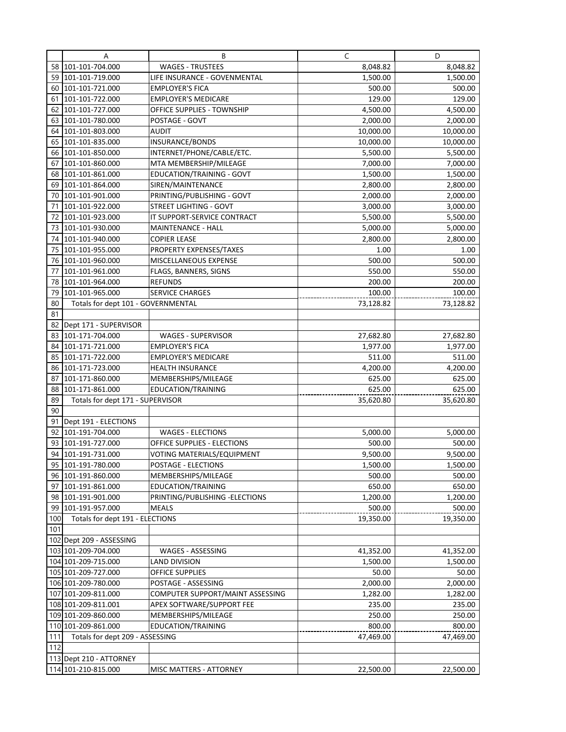|          | Α                                  | B                                                       | C                  | D                  |
|----------|------------------------------------|---------------------------------------------------------|--------------------|--------------------|
| 58       | 101-101-704.000                    | <b>WAGES - TRUSTEES</b>                                 | 8,048.82           | 8,048.82           |
| 59       | 101-101-719.000                    | LIFE INSURANCE - GOVENMENTAL                            | 1,500.00           | 1,500.00           |
| 60       | 101-101-721.000                    | <b>EMPLOYER'S FICA</b>                                  | 500.00             | 500.00             |
| 61       | 101-101-722.000                    | <b>EMPLOYER'S MEDICARE</b>                              | 129.00             | 129.00             |
| 62       | 101-101-727.000                    | OFFICE SUPPLIES - TOWNSHIP                              | 4,500.00           | 4,500.00           |
| 63       | 101-101-780.000                    | POSTAGE - GOVT                                          | 2,000.00           | 2,000.00           |
| 64       | 101-101-803.000                    | <b>AUDIT</b>                                            | 10,000.00          | 10,000.00          |
| 65       | 101-101-835.000                    | INSURANCE/BONDS                                         | 10,000.00          | 10,000.00          |
| 66       | 101-101-850.000                    | INTERNET/PHONE/CABLE/ETC.                               | 5,500.00           | 5,500.00           |
| 67       | 101-101-860.000                    | MTA MEMBERSHIP/MILEAGE                                  | 7,000.00           | 7,000.00           |
| 68       | 101-101-861.000                    | EDUCATION/TRAINING - GOVT                               | 1,500.00           | 1,500.00           |
| 69       | 101-101-864.000                    | SIREN/MAINTENANCE                                       | 2,800.00           | 2,800.00           |
| 70       | 101-101-901.000                    | PRINTING/PUBLISHING - GOVT                              | 2,000.00           | 2,000.00           |
| 71       | 101-101-922.000                    | <b>STREET LIGHTING - GOVT</b>                           | 3,000.00           | 3,000.00           |
| 72       | 101-101-923.000                    | IT SUPPORT-SERVICE CONTRACT                             | 5,500.00           | 5,500.00           |
| 73       | 101-101-930.000                    | MAINTENANCE - HALL                                      | 5,000.00           | 5,000.00           |
| 74       | 101-101-940.000                    | <b>COPIER LEASE</b>                                     | 2,800.00           | 2,800.00           |
| 75       | 101-101-955.000                    | PROPERTY EXPENSES/TAXES                                 | 1.00               | 1.00               |
| 76       | 101-101-960.000                    | MISCELLANEOUS EXPENSE                                   | 500.00             | 500.00             |
| 77       | 101-101-961.000                    | FLAGS, BANNERS, SIGNS                                   | 550.00             | 550.00             |
| 78       | 101-101-964.000                    | <b>REFUNDS</b>                                          | 200.00             | 200.00             |
| 79       | 101-101-965.000                    | <b>SERVICE CHARGES</b>                                  | 100.00             | 100.00             |
| 80       | Totals for dept 101 - GOVERNMENTAL |                                                         | 73,128.82          | 73,128.82          |
| 81       |                                    |                                                         |                    |                    |
| 82       | Dept 171 - SUPERVISOR              |                                                         |                    |                    |
| 83       | 101-171-704.000                    | <b>WAGES - SUPERVISOR</b>                               | 27,682.80          | 27,682.80          |
| 84       | 101-171-721.000                    | <b>EMPLOYER'S FICA</b>                                  | 1,977.00           | 1,977.00           |
| 85       | 101-171-722.000                    | <b>EMPLOYER'S MEDICARE</b>                              | 511.00             | 511.00             |
| 86       | 101-171-723.000                    | <b>HEALTH INSURANCE</b>                                 | 4,200.00           | 4,200.00           |
| 87       | 101-171-860.000                    | MEMBERSHIPS/MILEAGE                                     | 625.00             | 625.00             |
| 88       | 101-171-861.000                    | EDUCATION/TRAINING                                      | 625.00             | 625.00             |
| 89       | Totals for dept 171 - SUPERVISOR   |                                                         | 35,620.80          | 35,620.80          |
| 90       |                                    |                                                         |                    |                    |
| 91       | Dept 191 - ELECTIONS               |                                                         |                    |                    |
| 92<br>93 | 101-191-704.000<br>101-191-727.000 | <b>WAGES - ELECTIONS</b><br>OFFICE SUPPLIES - ELECTIONS | 5,000.00<br>500.00 | 5,000.00<br>500.00 |
| 94       | 101-191-731.000                    | VOTING MATERIALS/EQUIPMENT                              | 9,500.00           | 9,500.00           |
|          | 95 101-191-780.000                 | POSTAGE - ELECTIONS                                     | 1,500.00           | 1,500.00           |
|          | 96 101-191-860.000                 | MEMBERSHIPS/MILEAGE                                     | 500.00             | 500.00             |
| 97       | 101-191-861.000                    | <b>EDUCATION/TRAINING</b>                               | 650.00             | 650.00             |
| 98       | 101-191-901.000                    | PRINTING/PUBLISHING - ELECTIONS                         | 1,200.00           | 1,200.00           |
| 99       | 101-191-957.000                    | <b>MEALS</b>                                            | 500.00             | 500.00             |
| 100      | Totals for dept 191 - ELECTIONS    |                                                         | 19,350.00          | 19,350.00          |
| 101      |                                    |                                                         |                    |                    |
|          | 102 Dept 209 - ASSESSING           |                                                         |                    |                    |
|          | 103 101-209-704.000                | WAGES - ASSESSING                                       | 41,352.00          | 41,352.00          |
|          | 104 101-209-715.000                | <b>LAND DIVISION</b>                                    | 1,500.00           | 1,500.00           |
|          | 105 101-209-727.000                | OFFICE SUPPLIES                                         | 50.00              | 50.00              |
|          | 106 101-209-780.000                | POSTAGE - ASSESSING                                     | 2,000.00           | 2,000.00           |
|          | 107 101-209-811.000                | COMPUTER SUPPORT/MAINT ASSESSING                        | 1,282.00           | 1,282.00           |
|          | 108 101-209-811.001                | APEX SOFTWARE/SUPPORT FEE                               | 235.00             | 235.00             |
|          | 109 101-209-860.000                | MEMBERSHIPS/MILEAGE                                     | 250.00             | 250.00             |
|          | 110 101-209-861.000                | <b>EDUCATION/TRAINING</b>                               | 800.00             | 800.00             |
| 111      | Totals for dept 209 - ASSESSING    |                                                         | 47,469.00          | 47,469.00          |
| 112      |                                    |                                                         |                    |                    |
|          | 113 Dept 210 - ATTORNEY            |                                                         |                    |                    |
|          | 114 101-210-815.000                | MISC MATTERS - ATTORNEY                                 | 22,500.00          | 22,500.00          |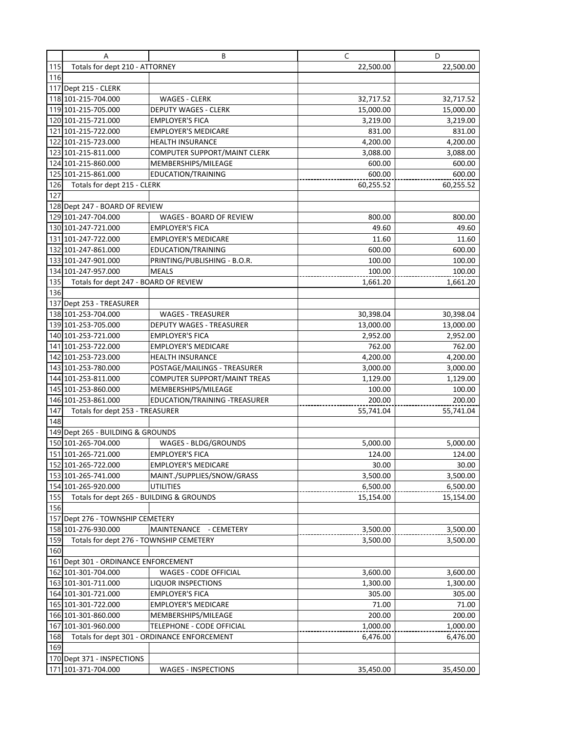|     | A                                        | B                                           | C         | D         |
|-----|------------------------------------------|---------------------------------------------|-----------|-----------|
| 115 | Totals for dept 210 - ATTORNEY           |                                             | 22,500.00 | 22,500.00 |
| 116 |                                          |                                             |           |           |
|     | 117 Dept 215 - CLERK                     |                                             |           |           |
|     | 118 101-215-704.000                      | <b>WAGES - CLERK</b>                        | 32,717.52 | 32,717.52 |
|     | 119 101-215-705.000                      | <b>DEPUTY WAGES - CLERK</b>                 | 15,000.00 | 15,000.00 |
|     | 120 101-215-721.000                      | <b>EMPLOYER'S FICA</b>                      | 3,219.00  | 3,219.00  |
|     | 121 101-215-722.000                      | <b>EMPLOYER'S MEDICARE</b>                  | 831.00    | 831.00    |
|     | 122 101-215-723.000                      | <b>HEALTH INSURANCE</b>                     | 4,200.00  | 4,200.00  |
|     | 123 101-215-811.000                      | COMPUTER SUPPORT/MAINT CLERK                | 3,088.00  | 3,088.00  |
|     | 124 101-215-860.000                      | MEMBERSHIPS/MILEAGE                         | 600.00    | 600.00    |
|     | 125 101-215-861.000                      | EDUCATION/TRAINING                          | 600.00    | 600.00    |
| 126 | Totals for dept 215 - CLERK              |                                             | 60,255.52 | 60,255.52 |
| 127 |                                          |                                             |           |           |
|     | 128 Dept 247 - BOARD OF REVIEW           |                                             |           |           |
|     | 129 101-247-704.000                      | WAGES - BOARD OF REVIEW                     | 800.00    | 800.00    |
|     | 130 101-247-721.000                      | <b>EMPLOYER'S FICA</b>                      | 49.60     | 49.60     |
|     | 131 101-247-722.000                      | <b>EMPLOYER'S MEDICARE</b>                  | 11.60     | 11.60     |
|     | 132 101-247-861.000                      | <b>EDUCATION/TRAINING</b>                   | 600.00    | 600.00    |
|     | 133 101-247-901.000                      | PRINTING/PUBLISHING - B.O.R.                | 100.00    | 100.00    |
|     | 134 101-247-957.000                      | <b>MEALS</b>                                | 100.00    | 100.00    |
| 135 | Totals for dept 247 - BOARD OF REVIEW    |                                             | 1,661.20  | 1,661.20  |
| 136 |                                          |                                             |           |           |
|     |                                          |                                             |           |           |
|     | 137 Dept 253 - TREASURER                 |                                             |           |           |
|     | 138 101-253-704.000                      | <b>WAGES - TREASURER</b>                    | 30,398.04 | 30,398.04 |
|     | 139 101-253-705.000                      | <b>DEPUTY WAGES - TREASURER</b>             | 13,000.00 | 13,000.00 |
|     | 140 101-253-721.000                      | <b>EMPLOYER'S FICA</b>                      | 2,952.00  | 2,952.00  |
|     | 141 101-253-722.000                      | <b>EMPLOYER'S MEDICARE</b>                  | 762.00    | 762.00    |
|     | 142 101-253-723.000                      | <b>HEALTH INSURANCE</b>                     | 4,200.00  | 4,200.00  |
|     | 143 101-253-780.000                      | POSTAGE/MAILINGS - TREASURER                | 3,000.00  | 3,000.00  |
|     | 144 101-253-811.000                      | COMPUTER SUPPORT/MAINT TREAS                | 1,129.00  | 1,129.00  |
|     | 145 101-253-860.000                      | MEMBERSHIPS/MILEAGE                         | 100.00    | 100.00    |
|     | 146 101-253-861.000                      | EDUCATION/TRAINING -TREASURER               | 200.00    | 200.00    |
| 147 | Totals for dept 253 - TREASURER          |                                             | 55,741.04 | 55,741.04 |
| 148 |                                          |                                             |           |           |
|     | 149 Dept 265 - BUILDING & GROUNDS        |                                             |           |           |
|     | 150 101-265-704.000                      | WAGES - BLDG/GROUNDS                        | 5,000.00  | 5,000.00  |
|     | 151 101-265-721.000                      | <b>EMPLOYER'S FICA</b>                      | 124.00    | 124.00    |
|     | 152 101-265-722.000                      | <b>EMPLOYER'S MEDICARE</b>                  | 30.00     | 30.00     |
|     | 153 101-265-741.000                      | MAINT./SUPPLIES/SNOW/GRASS                  | 3,500.00  | 3,500.00  |
|     | 154 101-265-920.000                      | <b>UTILITIES</b>                            | 6,500.00  | 6,500.00  |
| 155 | Totals for dept 265 - BUILDING & GROUNDS |                                             | 15,154.00 | 15,154.00 |
| 156 |                                          |                                             |           |           |
|     | 157 Dept 276 - TOWNSHIP CEMETERY         |                                             |           |           |
|     | 158 101-276-930.000                      | MAINTENANCE - CEMETERY                      | 3,500.00  | 3,500.00  |
| 159 | Totals for dept 276 - TOWNSHIP CEMETERY  |                                             | 3,500.00  | 3,500.00  |
| 160 |                                          |                                             |           |           |
|     | 161 Dept 301 - ORDINANCE ENFORCEMENT     |                                             |           |           |
|     | 162 101-301-704.000                      | WAGES - CODE OFFICIAL                       | 3,600.00  | 3,600.00  |
|     | 163 101-301-711.000                      | <b>LIQUOR INSPECTIONS</b>                   | 1,300.00  | 1,300.00  |
|     | 164 101-301-721.000                      | <b>EMPLOYER'S FICA</b>                      | 305.00    | 305.00    |
|     | 165 101-301-722.000                      | <b>EMPLOYER'S MEDICARE</b>                  | 71.00     | 71.00     |
|     | 166 101-301-860.000                      | MEMBERSHIPS/MILEAGE                         | 200.00    | 200.00    |
|     | 167 101-301-960.000                      | TELEPHONE - CODE OFFICIAL                   | 1,000.00  | 1,000.00  |
| 168 |                                          | Totals for dept 301 - ORDINANCE ENFORCEMENT | 6,476.00  | 6,476.00  |
| 169 |                                          |                                             |           |           |
|     | 170 Dept 371 - INSPECTIONS               |                                             |           |           |
|     | 171 101-371-704.000                      | <b>WAGES - INSPECTIONS</b>                  | 35,450.00 | 35,450.00 |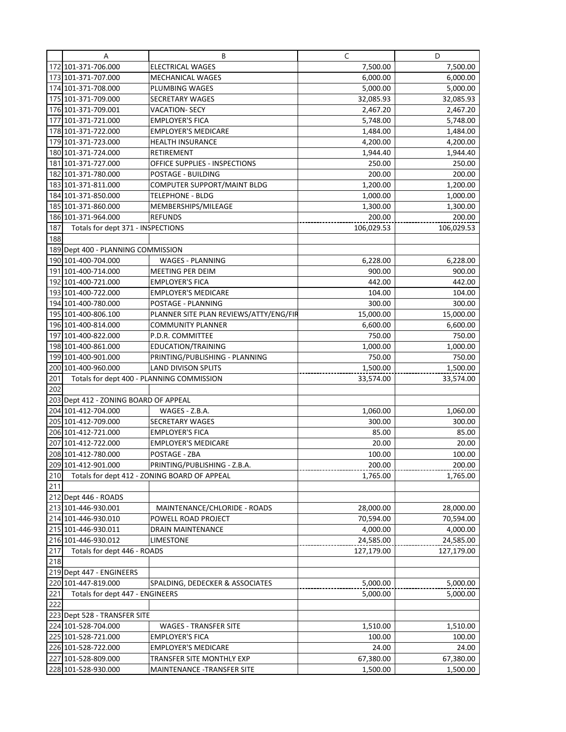|     | Α                                          | B                                            | C              | D               |
|-----|--------------------------------------------|----------------------------------------------|----------------|-----------------|
|     | 172 101-371-706.000                        | <b>ELECTRICAL WAGES</b>                      | 7,500.00       | 7,500.00        |
|     | 173 101-371-707.000                        | <b>MECHANICAL WAGES</b>                      | 6,000.00       | 6,000.00        |
|     | 174 101-371-708.000                        | PLUMBING WAGES                               | 5,000.00       | 5,000.00        |
|     | 175 101-371-709.000                        | <b>SECRETARY WAGES</b>                       | 32,085.93      | 32,085.93       |
|     | 176 101-371-709.001                        | <b>VACATION- SECY</b>                        | 2,467.20       | 2,467.20        |
|     | 177 101-371-721.000                        | <b>EMPLOYER'S FICA</b>                       | 5,748.00       | 5,748.00        |
|     | 178 101-371-722.000                        | <b>EMPLOYER'S MEDICARE</b>                   | 1,484.00       | 1,484.00        |
|     | 179 101-371-723.000                        | <b>HEALTH INSURANCE</b>                      | 4,200.00       | 4,200.00        |
|     | 180 101-371-724.000                        | RETIREMENT                                   | 1,944.40       | 1,944.40        |
|     | 181 101-371-727.000                        | OFFICE SUPPLIES - INSPECTIONS                | 250.00         | 250.00          |
|     | 182 101-371-780.000                        | POSTAGE - BUILDING                           | 200.00         | 200.00          |
|     | 183 101-371-811.000                        | COMPUTER SUPPORT/MAINT BLDG                  | 1,200.00       | 1,200.00        |
|     | 184 101-371-850.000                        | <b>TELEPHONE - BLDG</b>                      | 1,000.00       | 1,000.00        |
|     | 185 101-371-860.000                        | MEMBERSHIPS/MILEAGE                          | 1,300.00       | 1,300.00        |
|     | 186 101-371-964.000                        | <b>REFUNDS</b>                               | 200.00         | 200.00          |
| 187 | Totals for dept 371 - INSPECTIONS          |                                              | 106,029.53     | 106,029.53      |
| 188 |                                            |                                              |                |                 |
|     | 189 Dept 400 - PLANNING COMMISSION         |                                              |                |                 |
|     | 190 101-400-704.000                        | <b>WAGES - PLANNING</b>                      | 6,228.00       | 6,228.00        |
|     | 191 101-400-714.000                        | MEETING PER DEIM                             | 900.00         | 900.00          |
|     | 192 101-400-721.000                        | <b>EMPLOYER'S FICA</b>                       | 442.00         | 442.00          |
|     | 193 101-400-722.000                        | <b>EMPLOYER'S MEDICARE</b>                   | 104.00         | 104.00          |
|     | 194 101-400-780.000                        | POSTAGE - PLANNING                           | 300.00         | 300.00          |
|     | 195 101-400-806.100                        | PLANNER SITE PLAN REVIEWS/ATTY/ENG/FIR       | 15,000.00      | 15,000.00       |
|     | 196 101-400-814.000                        | <b>COMMUNITY PLANNER</b>                     | 6,600.00       | 6,600.00        |
|     | 197 101-400-822.000                        | P.D.R. COMMITTEE                             | 750.00         | 750.00          |
|     | 198 101-400-861.000                        | EDUCATION/TRAINING                           | 1,000.00       | 1,000.00        |
|     | 199 101-400-901.000                        | PRINTING/PUBLISHING - PLANNING               | 750.00         | 750.00          |
|     | 200 101-400-960.000                        | <b>LAND DIVISON SPLITS</b>                   | 1,500.00       | 1,500.00        |
| 201 | Totals for dept 400 - PLANNING COMMISSION  |                                              | 33,574.00      | 33,574.00       |
| 202 |                                            |                                              |                |                 |
|     | 203 Dept 412 - ZONING BOARD OF APPEAL      |                                              |                |                 |
|     | 204 101-412-704.000                        | WAGES - Z.B.A.                               | 1,060.00       | 1,060.00        |
|     | 205 101-412-709.000                        | <b>SECRETARY WAGES</b>                       | 300.00         | 300.00          |
|     | 206 101-412-721.000                        | <b>EMPLOYER'S FICA</b>                       | 85.00<br>20.00 | 85.00           |
|     | 207 101-412-722.000<br>208 101-412-780.000 | <b>EMPLOYER'S MEDICARE</b><br>POSTAGE - ZBA  | 100.00         | 20.00<br>100.00 |
|     | 209 101-412-901.000                        | PRINTING/PUBLISHING - Z.B.A.                 | 200.00         | 200.00          |
| 210 |                                            | Totals for dept 412 - ZONING BOARD OF APPEAL | 1,765.00       | 1,765.00        |
| 211 |                                            |                                              |                |                 |
|     | 212 Dept 446 - ROADS                       |                                              |                |                 |
|     | 213 101-446-930.001                        | MAINTENANCE/CHLORIDE - ROADS                 | 28,000.00      | 28,000.00       |
|     | 214 101-446-930.010                        | POWELL ROAD PROJECT                          | 70,594.00      | 70,594.00       |
|     | 215 101-446-930.011                        | DRAIN MAINTENANCE                            | 4,000.00       | 4,000.00        |
|     | 216 101-446-930.012                        | <b>LIMESTONE</b>                             | 24,585.00      | 24,585.00       |
| 217 | Totals for dept 446 - ROADS                |                                              | 127,179.00     | 127,179.00      |
| 218 |                                            |                                              |                |                 |
|     | 219 Dept 447 - ENGINEERS                   |                                              |                |                 |
|     | 220 101-447-819.000                        | SPALDING, DEDECKER & ASSOCIATES              | 5,000.00       | 5,000.00        |
| 221 | Totals for dept 447 - ENGINEERS            |                                              | 5,000.00       | 5,000.00        |
| 222 |                                            |                                              |                |                 |
|     | 223 Dept 528 - TRANSFER SITE               |                                              |                |                 |
|     | 224 101-528-704.000                        | <b>WAGES - TRANSFER SITE</b>                 | 1,510.00       | 1,510.00        |
|     | 225 101-528-721.000                        | <b>EMPLOYER'S FICA</b>                       | 100.00         | 100.00          |
|     | 226 101-528-722.000                        | <b>EMPLOYER'S MEDICARE</b>                   | 24.00          | 24.00           |
|     | 227 101-528-809.000                        | TRANSFER SITE MONTHLY EXP                    | 67,380.00      | 67,380.00       |
|     | 228 101-528-930.000                        | MAINTENANCE - TRANSFER SITE                  | 1,500.00       | 1,500.00        |